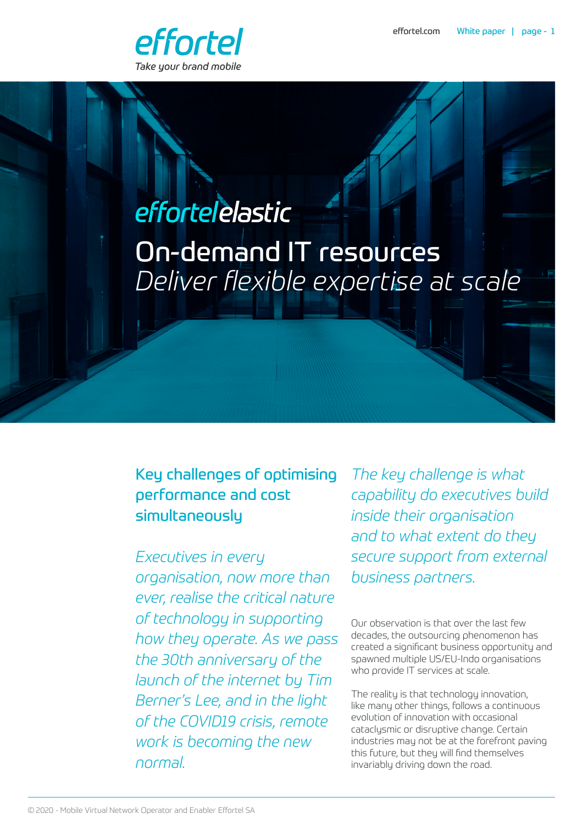

# effortelelastic On-demand IT resources *Deliver flexible expertise at scale*

## Key challenges of optimising performance and cost simultaneously

*Executives in every organisation, now more than ever, realise the critical nature of technology in supporting how they operate. As we pass the 30th anniversary of the launch of the internet by Tim Berner's Lee, and in the light of the COVID19 crisis, remote work is becoming the new normal.* 

*The key challenge is what capability do executives build inside their organisation and to what extent do they secure support from external business partners.*

Our observation is that over the last few decades, the outsourcing phenomenon has created a significant business opportunity and spawned multiple US/EU-Indo organisations who provide IT services at scale.

The reality is that technology innovation, like many other things, follows a continuous evolution of innovation with occasional cataclysmic or disruptive change. Certain industries may not be at the forefront paving this future, but they will find themselves invariably driving down the road.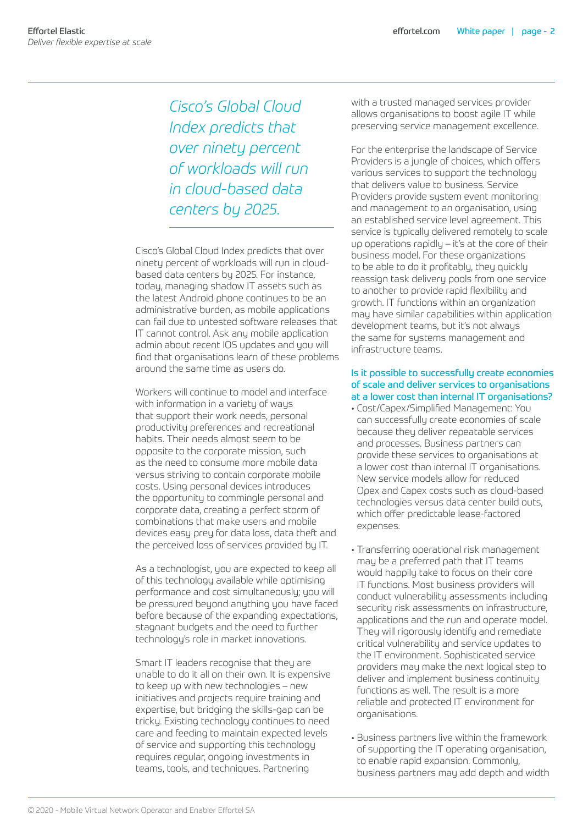*Cisco's Global Cloud Index predicts that over ninety percent of workloads will run in cloud-based data centers by 2025.*

Cisco's Global Cloud Index predicts that over ninety percent of workloads will run in cloudbased data centers by 2025. For instance, today, managing shadow IT assets such as the latest Android phone continues to be an administrative burden, as mobile applications can fail due to untested software releases that IT cannot control. Ask any mobile application admin about recent IOS updates and you will find that organisations learn of these problems around the same time as users do.

Workers will continue to model and interface with information in a variety of ways that support their work needs, personal productivity preferences and recreational habits. Their needs almost seem to be opposite to the corporate mission, such as the need to consume more mobile data versus striving to contain corporate mobile costs. Using personal devices introduces the opportunity to commingle personal and corporate data, creating a perfect storm of combinations that make users and mobile devices easy prey for data loss, data theft and the perceived loss of services provided by IT.

As a technologist, you are expected to keep all of this technology available while optimising performance and cost simultaneously; you will be pressured beyond anything you have faced before because of the expanding expectations, stagnant budgets and the need to further technology's role in market innovations.

Smart IT leaders recognise that they are unable to do it all on their own. It is expensive to keep up with new technologies – new initiatives and projects require training and expertise, but bridging the skills-gap can be tricky. Existing technology continues to need care and feeding to maintain expected levels of service and supporting this technology requires regular, ongoing investments in teams, tools, and techniques. Partnering

with a trusted managed services provider allows organisations to boost agile IT while preserving service management excellence.

For the enterprise the landscape of Service Providers is a jungle of choices, which offers various services to support the technology that delivers value to business. Service Providers provide system event monitoring and management to an organisation, using an established service level agreement. This service is typically delivered remotely to scale up operations rapidly – it's at the core of their business model. For these organizations to be able to do it profitably, they quickly reassign task delivery pools from one service to another to provide rapid flexibility and growth. IT functions within an organization may have similar capabilities within application development teams, but it's not always the same for systems management and infrastructure teams.

#### Is it possible to successfully create economies of scale and deliver services to organisations at a lower cost than internal IT organisations?

- Cost/Capex/Simplified Management: You can successfully create economies of scale because they deliver repeatable services and processes. Business partners can provide these services to organisations at a lower cost than internal IT organisations. New service models allow for reduced Opex and Capex costs such as cloud-based technologies versus data center build outs, which offer predictable lease-factored expenses.
- Transferring operational risk management may be a preferred path that IT teams would happily take to focus on their core IT functions. Most business providers will conduct vulnerability assessments including security risk assessments on infrastructure, applications and the run and operate model. They will rigorously identify and remediate critical vulnerability and service updates to the IT environment. Sophisticated service providers may make the next logical step to deliver and implement business continuity functions as well. The result is a more reliable and protected IT environment for organisations.
- Business partners live within the framework of supporting the IT operating organisation, to enable rapid expansion. Commonly, business partners may add depth and width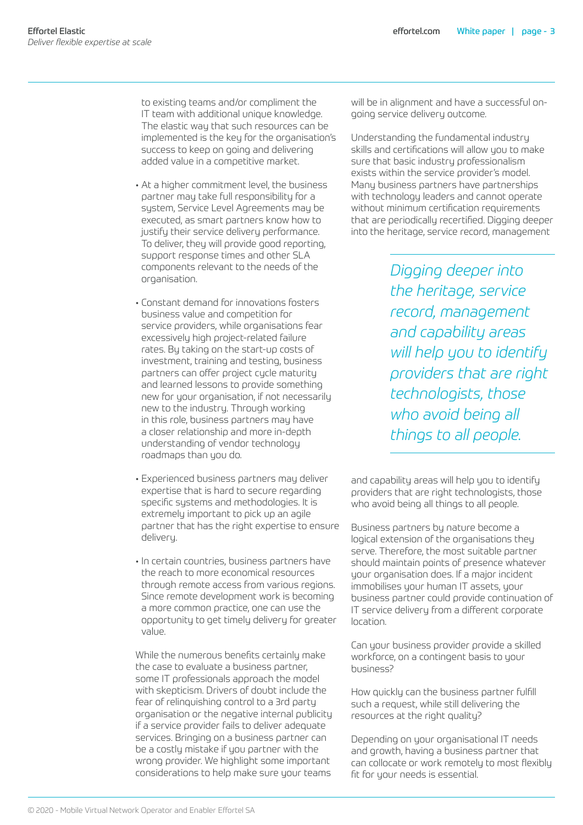to existing teams and/or compliment the IT team with additional unique knowledge. The elastic way that such resources can be implemented is the key for the organisation's success to keep on going and delivering added value in a competitive market.

- At a higher commitment level, the business partner may take full responsibility for a system, Service Level Agreements may be executed, as smart partners know how to justify their service delivery performance. To deliver, they will provide good reporting, support response times and other SLA components relevant to the needs of the organisation.
- Constant demand for innovations fosters business value and competition for service providers, while organisations fear excessively high project-related failure rates. By taking on the start-up costs of investment, training and testing, business partners can offer project cycle maturity and learned lessons to provide something new for your organisation, if not necessarily new to the industry. Through working in this role, business partners may have a closer relationship and more in-depth understanding of vendor technology roadmaps than you do.
- Experienced business partners may deliver expertise that is hard to secure regarding specific systems and methodologies. It is extremely important to pick up an agile partner that has the right expertise to ensure deliveru.
- In certain countries, business partners have the reach to more economical resources through remote access from various regions. Since remote development work is becoming a more common practice, one can use the opportunity to get timely delivery for greater value.

While the numerous benefits certainly make the case to evaluate a business partner, some IT professionals approach the model with skepticism. Drivers of doubt include the fear of relinquishing control to a 3rd party organisation or the negative internal publicity if a service provider fails to deliver adequate services. Bringing on a business partner can be a costly mistake if you partner with the wrong provider. We highlight some important considerations to help make sure your teams

will be in alignment and have a successful ongoing service delivery outcome.

Understanding the fundamental industry skills and certifications will allow you to make sure that basic industry professionalism exists within the service provider's model. Many business partners have partnerships with technology leaders and cannot operate without minimum certification requirements that are periodically recertified. Digging deeper into the heritage, service record, management

> *Digging deeper into the heritage, service record, management and capability areas will help you to identify providers that are right technologists, those who avoid being all things to all people.*

and capability areas will help you to identify providers that are right technologists, those who avoid being all things to all people.

Business partners by nature become a logical extension of the organisations they serve. Therefore, the most suitable partner should maintain points of presence whatever your organisation does. If a major incident immobilises your human IT assets, your business partner could provide continuation of IT service delivery from a different corporate location.

Can your business provider provide a skilled workforce, on a contingent basis to your business?

How quickly can the business partner fulfill such a request, while still delivering the resources at the right quality?

Depending on your organisational IT needs and growth, having a business partner that can collocate or work remotely to most flexibly fit for your needs is essential.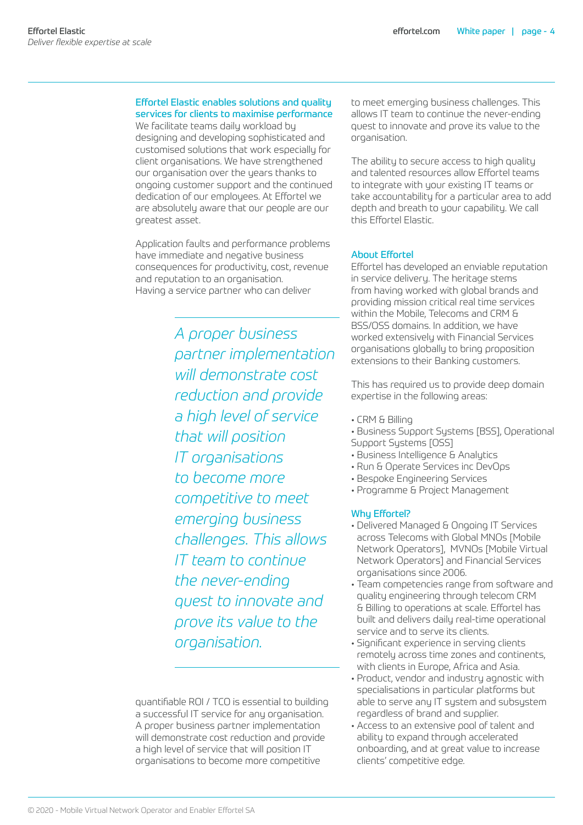#### Effortel Elastic enables solutions and quality services for clients to maximise performance

We facilitate teams daily workload by designing and developing sophisticated and customised solutions that work especially for client organisations. We have strengthened our organisation over the years thanks to ongoing customer support and the continued dedication of our employees. At Effortel we are absolutely aware that our people are our greatest asset.

Application faults and performance problems have immediate and negative business consequences for productivity, cost, revenue and reputation to an organisation. Having a service partner who can deliver

> *A proper business partner implementation will demonstrate cost reduction and provide a high level of service that will position IT organisations to become more competitive to meet emerging business challenges. This allows IT team to continue the never-ending quest to innovate and prove its value to the organisation.*

quantifiable ROI / TCO is essential to building a successful IT service for any organisation. A proper business partner implementation will demonstrate cost reduction and provide a high level of service that will position IT organisations to become more competitive

to meet emerging business challenges. This allows IT team to continue the never-ending quest to innovate and prove its value to the organisation.

The ability to secure access to high quality and talented resources allow Effortel teams to integrate with your existing IT teams or take accountability for a particular area to add depth and breath to your capability. We call this Effortel Elastic.

#### About Effortel

Effortel has developed an enviable reputation in service delivery. The heritage stems from having worked with global brands and providing mission critical real time services within the Mobile, Telecoms and CRM & BSS/OSS domains. In addition, we have worked extensively with Financial Services organisations globally to bring proposition extensions to their Banking customers.

This has required us to provide deep domain expertise in the following areas:

- CRM & Billing
- Business Support Systems [BSS], Operational Support Systems [OSS]
- Business Intelligence & Analytics
- Run & Operate Services inc DevOps
- Bespoke Engineering Services
- Programme & Project Management

#### Why Effortel?

- Delivered Managed & Ongoing IT Services across Telecoms with Global MNOs [Mobile Network Operators], MVNOs [Mobile Virtual Network Operators] and Financial Services organisations since 2006.
- Team competencies range from software and quality engineering through telecom CRM & Billing to operations at scale. Effortel has built and delivers daily real-time operational service and to serve its clients.
- Significant experience in serving clients remotely across time zones and continents, with clients in Europe, Africa and Asia.
- Product, vendor and industry agnostic with specialisations in particular platforms but able to serve any IT system and subsystem regardless of brand and supplier.
- Access to an extensive pool of talent and ability to expand through accelerated onboarding, and at great value to increase clients' competitive edge.